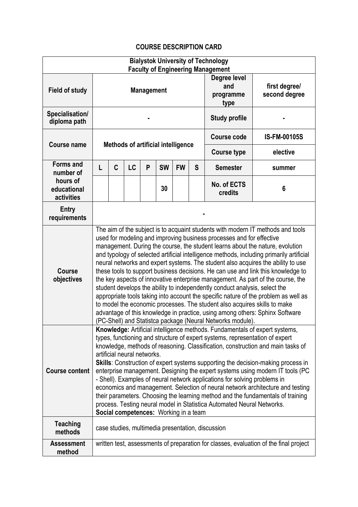## **COURSE DESCRIPTION CARD**

| <b>Bialystok University of Technology</b>                              |                                                                                                                                                                                                                                                                                                                                                                                                                                                                                                                                                                                                                                                                                                                                                                                                                                                                                                                                                                                                 |             |    |   |           |           |                                          |                                |                     |
|------------------------------------------------------------------------|-------------------------------------------------------------------------------------------------------------------------------------------------------------------------------------------------------------------------------------------------------------------------------------------------------------------------------------------------------------------------------------------------------------------------------------------------------------------------------------------------------------------------------------------------------------------------------------------------------------------------------------------------------------------------------------------------------------------------------------------------------------------------------------------------------------------------------------------------------------------------------------------------------------------------------------------------------------------------------------------------|-------------|----|---|-----------|-----------|------------------------------------------|--------------------------------|---------------------|
| <b>Field of study</b>                                                  | <b>Faculty of Engineering Management</b><br><b>Management</b>                                                                                                                                                                                                                                                                                                                                                                                                                                                                                                                                                                                                                                                                                                                                                                                                                                                                                                                                   |             |    |   |           |           | Degree level<br>and<br>programme<br>type | first degree/<br>second degree |                     |
| Specialisation/<br>diploma path                                        |                                                                                                                                                                                                                                                                                                                                                                                                                                                                                                                                                                                                                                                                                                                                                                                                                                                                                                                                                                                                 |             |    |   |           |           | <b>Study profile</b>                     |                                |                     |
| <b>Course name</b>                                                     | <b>Methods of artificial intelligence</b>                                                                                                                                                                                                                                                                                                                                                                                                                                                                                                                                                                                                                                                                                                                                                                                                                                                                                                                                                       |             |    |   |           |           |                                          | <b>Course code</b>             | <b>IS-FM-00105S</b> |
|                                                                        |                                                                                                                                                                                                                                                                                                                                                                                                                                                                                                                                                                                                                                                                                                                                                                                                                                                                                                                                                                                                 |             |    |   |           |           |                                          | <b>Course type</b>             | elective            |
| <b>Forms and</b><br>number of<br>hours of<br>educational<br>activities | L                                                                                                                                                                                                                                                                                                                                                                                                                                                                                                                                                                                                                                                                                                                                                                                                                                                                                                                                                                                               | $\mathbf C$ | LC | P | <b>SW</b> | <b>FW</b> | S                                        | <b>Semester</b>                | summer              |
|                                                                        |                                                                                                                                                                                                                                                                                                                                                                                                                                                                                                                                                                                                                                                                                                                                                                                                                                                                                                                                                                                                 |             |    |   | 30        |           |                                          | No. of ECTS<br>credits         | 6                   |
| <b>Entry</b><br>requirements                                           |                                                                                                                                                                                                                                                                                                                                                                                                                                                                                                                                                                                                                                                                                                                                                                                                                                                                                                                                                                                                 |             |    |   |           |           |                                          |                                |                     |
| Course<br>objectives                                                   | The aim of the subject is to acquaint students with modern IT methods and tools<br>used for modeling and improving business processes and for effective<br>management. During the course, the student learns about the nature, evolution<br>and typology of selected artificial intelligence methods, including primarily artificial<br>neural networks and expert systems. The student also acquires the ability to use<br>these tools to support business decisions. He can use and link this knowledge to<br>the key aspects of innovative enterprise management. As part of the course, the<br>student develops the ability to independently conduct analysis, select the<br>appropriate tools taking into account the specific nature of the problem as well as<br>to model the economic processes. The student also acquires skills to make<br>advantage of this knowledge in practice, using among others: Sphinx Software<br>(PC-Shell) and Statistca package (Neural Networks module). |             |    |   |           |           |                                          |                                |                     |
| <b>Course content</b>                                                  | Knowledge: Artificial intelligence methods. Fundamentals of expert systems,<br>types, functioning and structure of expert systems, representation of expert<br>knowledge, methods of reasoning. Classification, construction and main tasks of<br>artificial neural networks.<br>Skills: Construction of expert systems supporting the decision-making process in<br>enterprise management. Designing the expert systems using modern IT tools (PC<br>- Shell). Examples of neural network applications for solving problems in<br>economics and management. Selection of neural network architecture and testing<br>their parameters. Choosing the learning method and the fundamentals of training<br>process. Testing neural model in Statistica Automated Neural Networks.<br>Social competences: Working in a team                                                                                                                                                                         |             |    |   |           |           |                                          |                                |                     |
| <b>Teaching</b><br>methods                                             | case studies, multimedia presentation, discussion                                                                                                                                                                                                                                                                                                                                                                                                                                                                                                                                                                                                                                                                                                                                                                                                                                                                                                                                               |             |    |   |           |           |                                          |                                |                     |
| <b>Assessment</b><br>method                                            | written test, assessments of preparation for classes, evaluation of the final project                                                                                                                                                                                                                                                                                                                                                                                                                                                                                                                                                                                                                                                                                                                                                                                                                                                                                                           |             |    |   |           |           |                                          |                                |                     |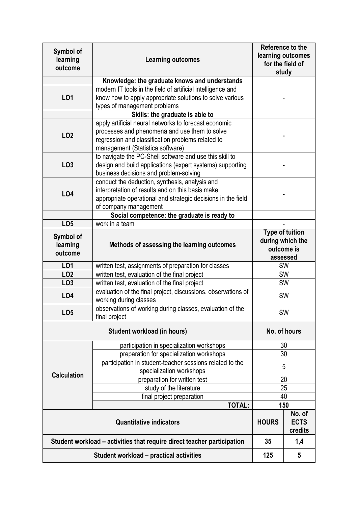| Symbol of<br>learning<br>outcome                                        | <b>Learning outcomes</b>                                                                                                                                                                        | Reference to the<br>learning outcomes<br>for the field of<br>study   |           |  |  |  |  |  |  |
|-------------------------------------------------------------------------|-------------------------------------------------------------------------------------------------------------------------------------------------------------------------------------------------|----------------------------------------------------------------------|-----------|--|--|--|--|--|--|
|                                                                         | Knowledge: the graduate knows and understands                                                                                                                                                   |                                                                      |           |  |  |  |  |  |  |
| L01                                                                     | modern IT tools in the field of artificial intelligence and<br>know how to apply appropriate solutions to solve various<br>types of management problems                                         |                                                                      |           |  |  |  |  |  |  |
|                                                                         | Skills: the graduate is able to                                                                                                                                                                 |                                                                      |           |  |  |  |  |  |  |
| <b>LO2</b>                                                              | apply artificial neural networks to forecast economic<br>processes and phenomena and use them to solve<br>regression and classification problems related to<br>management (Statistica software) |                                                                      |           |  |  |  |  |  |  |
| LO <sub>3</sub>                                                         | to navigate the PC-Shell software and use this skill to<br>design and build applications (expert systems) supporting<br>business decisions and problem-solving                                  |                                                                      |           |  |  |  |  |  |  |
| <b>LO4</b>                                                              | conduct the deduction, synthesis, analysis and<br>interpretation of results and on this basis make<br>appropriate operational and strategic decisions in the field<br>of company management     |                                                                      |           |  |  |  |  |  |  |
|                                                                         | Social competence: the graduate is ready to                                                                                                                                                     |                                                                      |           |  |  |  |  |  |  |
| LO <sub>5</sub>                                                         | work in a team                                                                                                                                                                                  |                                                                      |           |  |  |  |  |  |  |
| Symbol of<br>learning<br>outcome                                        | Methods of assessing the learning outcomes                                                                                                                                                      | <b>Type of tuition</b><br>during which the<br>outcome is<br>assessed |           |  |  |  |  |  |  |
| <b>LO1</b>                                                              | written test, assignments of preparation for classes                                                                                                                                            | <b>SW</b>                                                            |           |  |  |  |  |  |  |
| <b>LO2</b>                                                              | written test, evaluation of the final project                                                                                                                                                   |                                                                      | <b>SW</b> |  |  |  |  |  |  |
| LO <sub>3</sub>                                                         | written test, evaluation of the final project                                                                                                                                                   | <b>SW</b>                                                            |           |  |  |  |  |  |  |
| <b>LO4</b>                                                              | evaluation of the final project, discussions, observations of<br>working during classes                                                                                                         | SW                                                                   |           |  |  |  |  |  |  |
| LO <sub>5</sub>                                                         | observations of working during classes, evaluation of the<br>final project                                                                                                                      | SW                                                                   |           |  |  |  |  |  |  |
|                                                                         | No. of hours                                                                                                                                                                                    |                                                                      |           |  |  |  |  |  |  |
| <b>Calculation</b>                                                      | participation in specialization workshops                                                                                                                                                       | 30                                                                   |           |  |  |  |  |  |  |
|                                                                         | preparation for specialization workshops                                                                                                                                                        | 30                                                                   |           |  |  |  |  |  |  |
|                                                                         | participation in student-teacher sessions related to the<br>specialization workshops                                                                                                            | 5                                                                    |           |  |  |  |  |  |  |
|                                                                         | preparation for written test                                                                                                                                                                    | 20                                                                   |           |  |  |  |  |  |  |
|                                                                         | study of the literature                                                                                                                                                                         | 25                                                                   |           |  |  |  |  |  |  |
|                                                                         | final project preparation                                                                                                                                                                       | 40                                                                   |           |  |  |  |  |  |  |
|                                                                         | <b>TOTAL:</b>                                                                                                                                                                                   |                                                                      | 150       |  |  |  |  |  |  |
|                                                                         | <b>HOURS</b>                                                                                                                                                                                    | No. of<br><b>ECTS</b><br>credits                                     |           |  |  |  |  |  |  |
| Student workload - activities that require direct teacher participation | 35                                                                                                                                                                                              | 1,4                                                                  |           |  |  |  |  |  |  |
|                                                                         | 125                                                                                                                                                                                             | 5                                                                    |           |  |  |  |  |  |  |